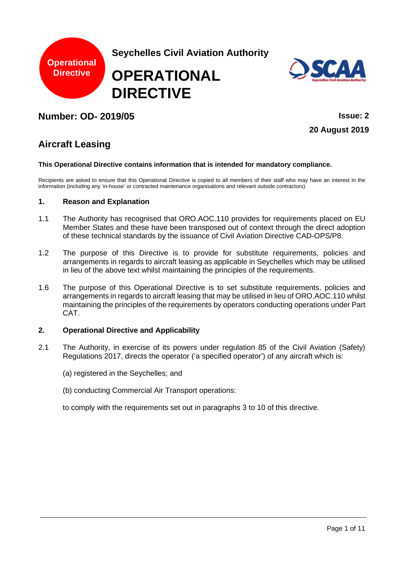

**Seychelles Civil Aviation Authority**

# **OPERATIONAL DIRECTIVE**



# **Number: OD- 2019/05 Issue: 2**

**20 August 2019**

# **Aircraft Leasing**

#### **This Operational Directive contains information that is intended for mandatory compliance.**

Recipients are asked to ensure that this Operational Directive is copied to all members of their staff who may have an interest in the information (including any 'in-house' or contracted maintenance organisations and relevant outside contractors).

# **1. Reason and Explanation**

- 1.1 The Authority has recognised that ORO.AOC.110 provides for requirements placed on EU Member States and these have been transposed out of context through the direct adoption of these technical standards by the issuance of Civil Aviation Directive CAD-OPS/P8.
- 1.2 The purpose of this Directive is to provide for substitute requirements, policies and arrangements in regards to aircraft leasing as applicable in Seychelles which may be utilised in lieu of the above text whilst maintaining the principles of the requirements.
- 1.6 The purpose of this Operational Directive is to set substitute requirements, policies and arrangements in regards to aircraft leasing that may be utilised in lieu of ORO.AOC.110 whilst maintaining the principles of the requirements by operators conducting operations under Part CAT.

# **2. Operational Directive and Applicability**

- 2.1 The Authority, in exercise of its powers under regulation 85 of the Civil Aviation (Safety) Regulations 2017, directs the operator ('a specified operator') of any aircraft which is:
	- (a) registered in the Seychelles; and
	- (b) conducting Commercial Air Transport operations:

to comply with the requirements set out in paragraphs 3 to 10 of this directive.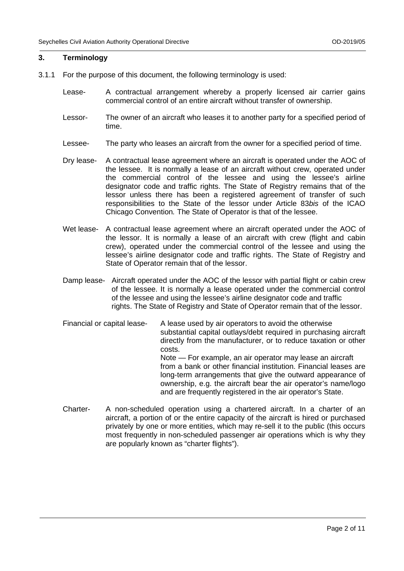#### **3. Terminology**

- 3.1.1 For the purpose of this document, the following terminology is used:
	- Lease- A contractual arrangement whereby a properly licensed air carrier gains commercial control of an entire aircraft without transfer of ownership.
	- Lessor- The owner of an aircraft who leases it to another party for a specified period of time.
	- Lessee- The party who leases an aircraft from the owner for a specified period of time.
	- Dry lease- A contractual lease agreement where an aircraft is operated under the AOC of the lessee. It is normally a lease of an aircraft without crew, operated under the commercial control of the lessee and using the lessee's airline designator code and traffic rights. The State of Registry remains that of the lessor unless there has been a registered agreement of transfer of such responsibilities to the State of the lessor under Article 83*bis* of the ICAO Chicago Convention*.* The State of Operator is that of the lessee.
	- Wet lease- A contractual lease agreement where an aircraft operated under the AOC of the lessor. It is normally a lease of an aircraft with crew (flight and cabin crew), operated under the commercial control of the lessee and using the lessee's airline designator code and traffic rights. The State of Registry and State of Operator remain that of the lessor.
	- Damp lease- Aircraft operated under the AOC of the lessor with partial flight or cabin crew of the lessee. It is normally a lease operated under the commercial control of the lessee and using the lessee's airline designator code and traffic rights. The State of Registry and State of Operator remain that of the lessor.
	- Financial or capital lease- A lease used by air operators to avoid the otherwise substantial capital outlays/debt required in purchasing aircraft directly from the manufacturer, or to reduce taxation or other costs. Note — For example, an air operator may lease an aircraft from a bank or other financial institution. Financial leases are long-term arrangements that give the outward appearance of ownership, e.g. the aircraft bear the air operator's name/logo and are frequently registered in the air operator's State.
	- Charter- A non-scheduled operation using a chartered aircraft. In a charter of an aircraft, a portion of or the entire capacity of the aircraft is hired or purchased privately by one or more entities, which may re-sell it to the public (this occurs most frequently in non-scheduled passenger air operations which is why they are popularly known as "charter flights").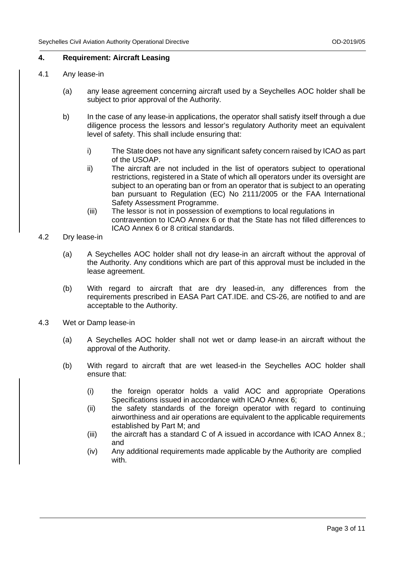# **4. Requirement: Aircraft Leasing**

- 4.1 Any lease-in
	- (a) any lease agreement concerning aircraft used by a Seychelles AOC holder shall be subject to prior approval of the Authority.
	- b) In the case of any lease-in applications, the operator shall satisfy itself through a due diligence process the lessors and lessor's regulatory Authority meet an equivalent level of safety. This shall include ensuring that:
		- i) The State does not have any significant safety concern raised by ICAO as part of the USOAP.
		- ii) The aircraft are not included in the list of operators subject to operational restrictions, registered in a State of which all operators under its oversight are subject to an operating ban or from an operator that is subject to an operating ban pursuant to Regulation (EC) No 2111/2005 or the FAA International Safety Assessment Programme.
		- (iii) The lessor is not in possession of exemptions to local regulations in contravention to ICAO Annex 6 or that the State has not filled differences to ICAO Annex 6 or 8 critical standards.
- 4.2 Dry lease-in
	- (a) A Seychelles AOC holder shall not dry lease-in an aircraft without the approval of the Authority. Any conditions which are part of this approval must be included in the lease agreement.
	- (b) With regard to aircraft that are dry leased-in, any differences from the requirements prescribed in EASA Part CAT.IDE. and CS-26, are notified to and are acceptable to the Authority.
- 4.3 Wet or Damp lease-in
	- (a) A Seychelles AOC holder shall not wet or damp lease-in an aircraft without the approval of the Authority.
	- (b) With regard to aircraft that are wet leased-in the Seychelles AOC holder shall ensure that:
		- (i) the foreign operator holds a valid AOC and appropriate Operations Specifications issued in accordance with ICAO Annex 6;
		- (ii) the safety standards of the foreign operator with regard to continuing airworthiness and air operations are equivalent to the applicable requirements established by Part M; and
		- (iii) the aircraft has a standard C of A issued in accordance with ICAO Annex 8.; and
		- (iv) Any additional requirements made applicable by the Authority are complied with.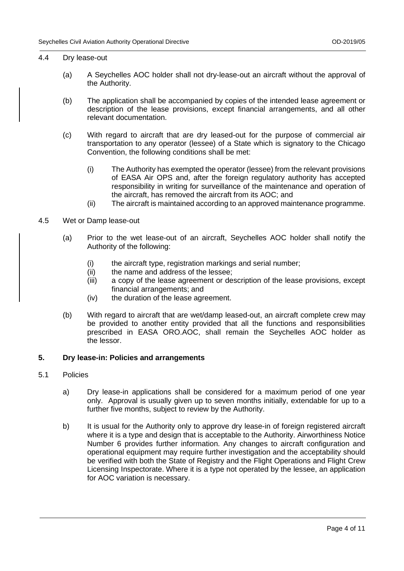## 4.4 Dry lease-out

- (a) A Seychelles AOC holder shall not dry-lease-out an aircraft without the approval of the Authority.
- (b) The application shall be accompanied by copies of the intended lease agreement or description of the lease provisions, except financial arrangements, and all other relevant documentation.
- (c) With regard to aircraft that are dry leased-out for the purpose of commercial air transportation to any operator (lessee) of a State which is signatory to the Chicago Convention, the following conditions shall be met:
	- (i) The Authority has exempted the operator (lessee) from the relevant provisions of EASA Air OPS and, after the foreign regulatory authority has accepted responsibility in writing for surveillance of the maintenance and operation of the aircraft, has removed the aircraft from its AOC; and
	- (ii) The aircraft is maintained according to an approved maintenance programme.
- 4.5 Wet or Damp lease-out
	- (a) Prior to the wet lease-out of an aircraft, Seychelles AOC holder shall notify the Authority of the following:
		- (i) the aircraft type, registration markings and serial number;
		- (ii) the name and address of the lessee;<br>(iii) a copy of the lease agreement or de
		- a copy of the lease agreement or description of the lease provisions, except financial arrangements; and
		- (iv) the duration of the lease agreement.
	- (b) With regard to aircraft that are wet/damp leased-out, an aircraft complete crew may be provided to another entity provided that all the functions and responsibilities prescribed in EASA ORO.AOC, shall remain the Seychelles AOC holder as the lessor.

# **5. Dry lease-in: Policies and arrangements**

#### 5.1 Policies

- a) Dry lease-in applications shall be considered for a maximum period of one year only. Approval is usually given up to seven months initially, extendable for up to a further five months, subject to review by the Authority.
- b) It is usual for the Authority only to approve dry lease-in of foreign registered aircraft where it is a type and design that is acceptable to the Authority. Airworthiness Notice Number 6 provides further information. Any changes to aircraft configuration and operational equipment may require further investigation and the acceptability should be verified with both the State of Registry and the Flight Operations and Flight Crew Licensing Inspectorate. Where it is a type not operated by the lessee, an application for AOC variation is necessary.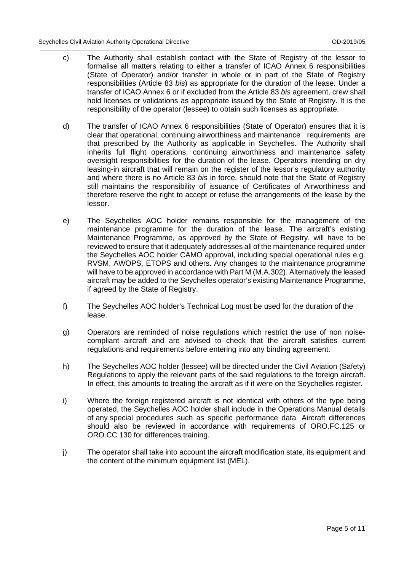- c) The Authority shall establish contact with the State of Registry of the lessor to formalise all matters relating to either a transfer of ICAO Annex 6 responsibilities (State of Operator) and/or transfer in whole or in part of the State of Registry responsibilities (Article 83 *bis*) as appropriate for the duration of the lease. Under a transfer of ICAO Annex 6 or if excluded from the Article 83 *bis* agreement, crew shall hold licenses or validations as appropriate issued by the State of Registry. It is the responsibility of the operator (lessee) to obtain such licenses as appropriate.
- d) The transfer of ICAO Annex 6 responsibilities (State of Operator) ensures that it is clear that operational, continuing airworthiness and maintenance requirements are that prescribed by the Authority as applicable in Seychelles. The Authority shall inherits full flight operations, continuing airworthiness and maintenance safety oversight responsibilities for the duration of the lease. Operators intending on dry leasing-in aircraft that will remain on the register of the lessor's regulatory authority and where there is no Article 83 *bis* in force, should note that the State of Registry still maintains the responsibility of issuance of Certificates of Airworthiness and therefore reserve the right to accept or refuse the arrangements of the lease by the lessor.
- e) The Seychelles AOC holder remains responsible for the management of the maintenance programme for the duration of the lease. The aircraft's existing Maintenance Programme, as approved by the State of Registry, will have to be reviewed to ensure that it adequately addresses all of the maintenance required under the Seychelles AOC holder CAMO approval, including special operational rules e.g. RVSM, AWOPS, ETOPS and others. Any changes to the maintenance programme will have to be approved in accordance with Part M (M.A.302). Alternatively the leased aircraft may be added to the Seychelles operator's existing Maintenance Programme, if agreed by the State of Registry.
- f) The Seychelles AOC holder's Technical Log must be used for the duration of the lease.
- g) Operators are reminded of noise regulations which restrict the use of non noisecompliant aircraft and are advised to check that the aircraft satisfies current regulations and requirements before entering into any binding agreement.
- h) The Seychelles AOC holder (lessee) will be directed under the Civil Aviation (Safety) Regulations to apply the relevant parts of the said regulations to the foreign aircraft. In effect, this amounts to treating the aircraft as if it were on the Seychelles register.
- i) Where the foreign registered aircraft is not identical with others of the type being operated, the Seychelles AOC holder shall include in the Operations Manual details of any special procedures such as specific performance data. Aircraft differences should also be reviewed in accordance with requirements of ORO.FC.125 or ORO.CC.130 for differences training.
- j) The operator shall take into account the aircraft modification state, its equipment and the content of the minimum equipment list (MEL).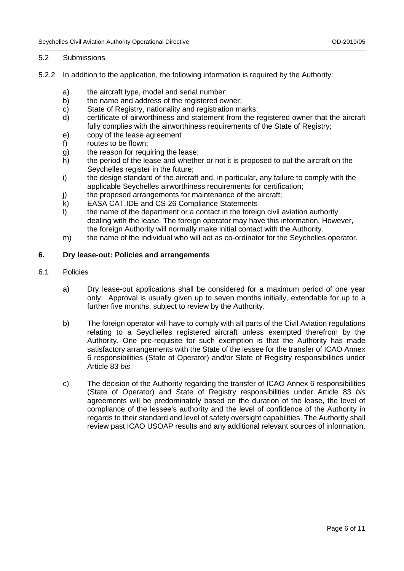### 5.2 Submissions

- 5.2.2 In addition to the application, the following information is required by the Authority:
	- a) the aircraft type, model and serial number;<br>b) the name and address of the registered ow
	- b) the name and address of the registered owner;<br>c) State of Registry, nationality and registration ma
	- c) State of Registry, nationality and registration marks;<br>d) certificate of airworthiness and statement from the r
	- certificate of airworthiness and statement from the registered owner that the aircraft fully complies with the airworthiness requirements of the State of Registry;
	- e) copy of the lease agreement
	- f) routes to be flown;
	- g) the reason for requiring the lease;<br>h) the period of the lease and whethe
	- the period of the lease and whether or not it is proposed to put the aircraft on the Sevchelles register in the future;
	- i) the design standard of the aircraft and, in particular, any failure to comply with the applicable Seychelles airworthiness requirements for certification;
	- j) the proposed arrangements for maintenance of the aircraft;<br>k) EASA CAT.IDE and CS-26 Compliance Statements
	- k) EASA CAT.IDE and CS-26 Compliance Statements<br>I) the name of the department or a contact in the foreig
	- the name of the department or a contact in the foreign civil aviation authority dealing with the lease. The foreign operator may have this information. However, the foreign Authority will normally make initial contact with the Authority.
	- m) the name of the individual who will act as co-ordinator for the Seychelles operator.

#### **6. Dry lease-out: Policies and arrangements**

- 6.1 Policies
	- a) Dry lease-out applications shall be considered for a maximum period of one year only. Approval is usually given up to seven months initially, extendable for up to a further five months, subject to review by the Authority.
	- b) The foreign operator will have to comply with all parts of the Civil Aviation regulations relating to a Seychelles registered aircraft unless exempted therefrom by the Authority. One pre-requisite for such exemption is that the Authority has made satisfactory arrangements with the State of the lessee for the transfer of ICAO Annex 6 responsibilities (State of Operator) and/or State of Registry responsibilities under Article 83 *bis*.
	- c) The decision of the Authority regarding the transfer of ICAO Annex 6 responsibilities (State of Operator) and State of Registry responsibilities under Article 83 *bis* agreements will be predominately based on the duration of the lease, the level of compliance of the lessee's authority and the level of confidence of the Authority in regards to their standard and level of safety oversight capabilities. The Authority shall review past ICAO USOAP results and any additional relevant sources of information.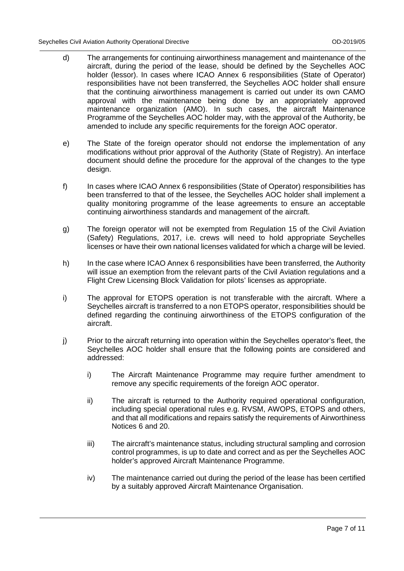- d) The arrangements for continuing airworthiness management and maintenance of the aircraft, during the period of the lease, should be defined by the Seychelles AOC holder (lessor). In cases where ICAO Annex 6 responsibilities (State of Operator) responsibilities have not been transferred, the Seychelles AOC holder shall ensure that the continuing airworthiness management is carried out under its own CAMO approval with the maintenance being done by an appropriately approved maintenance organization (AMO). In such cases, the aircraft Maintenance Programme of the Seychelles AOC holder may, with the approval of the Authority, be amended to include any specific requirements for the foreign AOC operator.
- e) The State of the foreign operator should not endorse the implementation of any modifications without prior approval of the Authority (State of Registry). An interface document should define the procedure for the approval of the changes to the type design.
- f) In cases where ICAO Annex 6 responsibilities (State of Operator) responsibilities has been transferred to that of the lessee, the Seychelles AOC holder shall implement a quality monitoring programme of the lease agreements to ensure an acceptable continuing airworthiness standards and management of the aircraft.
- g) The foreign operator will not be exempted from Regulation 15 of the Civil Aviation (Safety) Regulations, 2017, i.e. crews will need to hold appropriate Seychelles licenses or have their own national licenses validated for which a charge will be levied.
- h) In the case where ICAO Annex 6 responsibilities have been transferred, the Authority will issue an exemption from the relevant parts of the Civil Aviation regulations and a Flight Crew Licensing Block Validation for pilots' licenses as appropriate.
- i) The approval for ETOPS operation is not transferable with the aircraft. Where a Seychelles aircraft is transferred to a non ETOPS operator, responsibilities should be defined regarding the continuing airworthiness of the ETOPS configuration of the aircraft.
- j) Prior to the aircraft returning into operation within the Seychelles operator's fleet, the Seychelles AOC holder shall ensure that the following points are considered and addressed:
	- i) The Aircraft Maintenance Programme may require further amendment to remove any specific requirements of the foreign AOC operator.
	- ii) The aircraft is returned to the Authority required operational configuration, including special operational rules e.g. RVSM, AWOPS, ETOPS and others, and that all modifications and repairs satisfy the requirements of Airworthiness Notices 6 and 20.
	- iii) The aircraft's maintenance status, including structural sampling and corrosion control programmes, is up to date and correct and as per the Seychelles AOC holder's approved Aircraft Maintenance Programme.
	- iv) The maintenance carried out during the period of the lease has been certified by a suitably approved Aircraft Maintenance Organisation.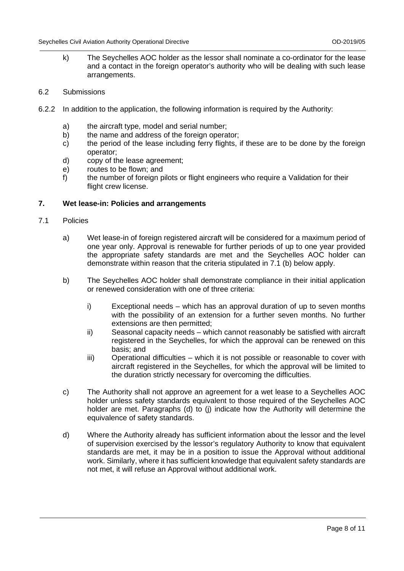- k) The Seychelles AOC holder as the lessor shall nominate a co-ordinator for the lease and a contact in the foreign operator's authority who will be dealing with such lease arrangements.
- 6.2 Submissions
- 6.2.2 In addition to the application, the following information is required by the Authority:
	- a) the aircraft type, model and serial number;<br>b) the name and address of the foreign opera
	- the name and address of the foreign operator;
	- c) the period of the lease including ferry flights, if these are to be done by the foreign operator;
	- d) copy of the lease agreement;
	- e) routes to be flown; and
	- f) the number of foreign pilots or flight engineers who require a Validation for their flight crew license.

#### **7. Wet lease-in: Policies and arrangements**

- 7.1 Policies
	- a) Wet lease-in of foreign registered aircraft will be considered for a maximum period of one year only. Approval is renewable for further periods of up to one year provided the appropriate safety standards are met and the Seychelles AOC holder can demonstrate within reason that the criteria stipulated in 7.1 (b) below apply.
	- b) The Seychelles AOC holder shall demonstrate compliance in their initial application or renewed consideration with one of three criteria:
		- i) Exceptional needs which has an approval duration of up to seven months with the possibility of an extension for a further seven months. No further extensions are then permitted;
		- ii) Seasonal capacity needs which cannot reasonably be satisfied with aircraft registered in the Seychelles, for which the approval can be renewed on this basis; and
		- iii) Operational difficulties which it is not possible or reasonable to cover with aircraft registered in the Seychelles, for which the approval will be limited to the duration strictly necessary for overcoming the difficulties.
	- c) The Authority shall not approve an agreement for a wet lease to a Seychelles AOC holder unless safety standards equivalent to those required of the Seychelles AOC holder are met. Paragraphs (d) to (j) indicate how the Authority will determine the equivalence of safety standards.
	- d) Where the Authority already has sufficient information about the lessor and the level of supervision exercised by the lessor's regulatory Authority to know that equivalent standards are met, it may be in a position to issue the Approval without additional work. Similarly, where it has sufficient knowledge that equivalent safety standards are not met, it will refuse an Approval without additional work.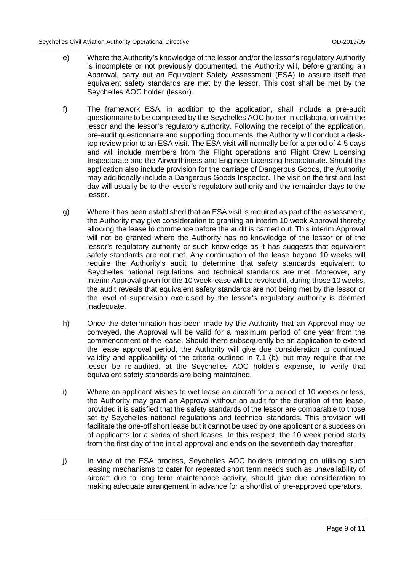- e) Where the Authority's knowledge of the lessor and/or the lessor's regulatory Authority is incomplete or not previously documented, the Authority will, before granting an Approval, carry out an Equivalent Safety Assessment (ESA) to assure itself that equivalent safety standards are met by the lessor. This cost shall be met by the Seychelles AOC holder (lessor).
- f) The framework ESA, in addition to the application, shall include a pre-audit questionnaire to be completed by the Seychelles AOC holder in collaboration with the lessor and the lessor's regulatory authority. Following the receipt of the application, pre-audit questionnaire and supporting documents, the Authority will conduct a desktop review prior to an ESA visit. The ESA visit will normally be for a period of 4-5 days and will include members from the Flight operations and Flight Crew Licensing Inspectorate and the Airworthiness and Engineer Licensing Inspectorate. Should the application also include provision for the carriage of Dangerous Goods, the Authority may additionally include a Dangerous Goods Inspector. The visit on the first and last day will usually be to the lessor's regulatory authority and the remainder days to the lessor.
- g) Where it has been established that an ESA visit is required as part of the assessment, the Authority may give consideration to granting an interim 10 week Approval thereby allowing the lease to commence before the audit is carried out. This interim Approval will not be granted where the Authority has no knowledge of the lessor or of the lessor's regulatory authority or such knowledge as it has suggests that equivalent safety standards are not met. Any continuation of the lease beyond 10 weeks will require the Authority's audit to determine that safety standards equivalent to Seychelles national regulations and technical standards are met. Moreover, any interim Approval given for the 10 week lease will be revoked if, during those 10 weeks, the audit reveals that equivalent safety standards are not being met by the lessor or the level of supervision exercised by the lessor's regulatory authority is deemed inadequate.
- h) Once the determination has been made by the Authority that an Approval may be conveyed, the Approval will be valid for a maximum period of one year from the commencement of the lease. Should there subsequently be an application to extend the lease approval period, the Authority will give due consideration to continued validity and applicability of the criteria outlined in 7.1 (b), but may require that the lessor be re-audited, at the Seychelles AOC holder's expense, to verify that equivalent safety standards are being maintained.
- i) Where an applicant wishes to wet lease an aircraft for a period of 10 weeks or less, the Authority may grant an Approval without an audit for the duration of the lease, provided it is satisfied that the safety standards of the lessor are comparable to those set by Seychelles national regulations and technical standards. This provision will facilitate the one-off short lease but it cannot be used by one applicant or a succession of applicants for a series of short leases. In this respect, the 10 week period starts from the first day of the initial approval and ends on the seventieth day thereafter.
- j) In view of the ESA process, Seychelles AOC holders intending on utilising such leasing mechanisms to cater for repeated short term needs such as unavailability of aircraft due to long term maintenance activity, should give due consideration to making adequate arrangement in advance for a shortlist of pre-approved operators.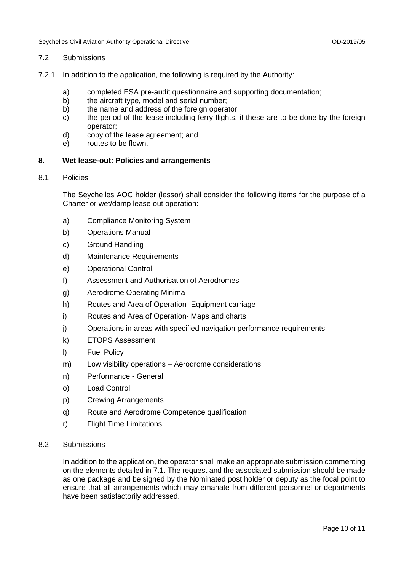#### 7.2 Submissions

- 7.2.1 In addition to the application, the following is required by the Authority:
	- a) completed ESA pre-audit questionnaire and supporting documentation;<br>b) the aircraft type, model and serial number;
	- b) the aircraft type, model and serial number;<br>b) the name and address of the foreign opera
	- the name and address of the foreign operator;
	- c) the period of the lease including ferry flights, if these are to be done by the foreign operator;
	- d) copy of the lease agreement; and
	- e) routes to be flown.

## **8. Wet lease-out: Policies and arrangements**

8.1 Policies

The Seychelles AOC holder (lessor) shall consider the following items for the purpose of a Charter or wet/damp lease out operation:

- a) Compliance Monitoring System
- b) Operations Manual
- c) Ground Handling
- d) Maintenance Requirements
- e) Operational Control
- f) Assessment and Authorisation of Aerodromes
- g) Aerodrome Operating Minima
- h) Routes and Area of Operation- Equipment carriage
- i) Routes and Area of Operation- Maps and charts
- j) Operations in areas with specified navigation performance requirements
- k) ETOPS Assessment
- l) Fuel Policy
- m) Low visibility operations Aerodrome considerations
- n) Performance General
- o) Load Control
- p) Crewing Arrangements
- q) Route and Aerodrome Competence qualification
- r) Flight Time Limitations

# 8.2 Submissions

In addition to the application, the operator shall make an appropriate submission commenting on the elements detailed in 7.1. The request and the associated submission should be made as one package and be signed by the Nominated post holder or deputy as the focal point to ensure that all arrangements which may emanate from different personnel or departments have been satisfactorily addressed.